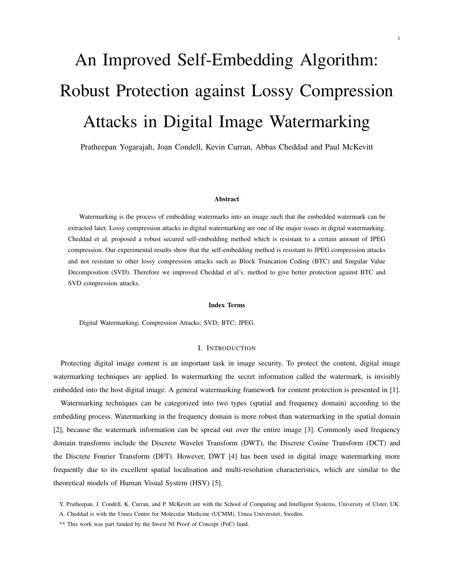# An Improved Self-Embedding Algorithm: Robust Protection against Lossy Compression Attacks in Digital Image Watermarking

Pratheepan Yogarajah, Joan Condell, Kevin Curran, Abbas Cheddad and Paul McKevitt

#### Abstract

Watermarking is the process of embedding watermarks into an image such that the embedded watermark can be extracted later. Lossy compression attacks in digital watermarking are one of the major issues in digital watermarking. Cheddad et al. proposed a robust secured self-embedding method which is resistant to a certain amount of JPEG compression. Our experimental results show that the self-embedding method is resistant to JPEG compression attacks and not resistant to other lossy compression attacks such as Block Truncation Coding (BTC) and Singular Value Decomposition (SVD). Therefore we improved Cheddad et al's. method to give better protection against BTC and SVD compression attacks.

## Index Terms

Digital Watermarking; Compression Attacks; SVD; BTC; JPEG.

## I. INTRODUCTION

Protecting digital image content is an important task in image security. To protect the content, digital image watermarking techniques are applied. In watermarking the secret information called the watermark, is invisibly embedded into the host digital image. A general watermarking framework for content protection is presented in [1].

Watermarking techniques can be categorized into two types (spatial and frequency domain) according to the embedding process. Watermarking in the frequency domain is more robust than watermarking in the spatial domain [2], because the watermark information can be spread out over the entire image [3]. Commonly used frequency domain transforms include the Discrete Wavelet Transform (DWT), the Discrete Cosine Transform (DCT) and the Discrete Fourier Transform (DFT). However, DWT [4] has been used in digital image watermarking more frequently due to its excellent spatial localisation and multi-resolution characteristics, which are similar to the theoretical models of Human Visual System (HSV) [5].

Y. Pratheepan, J. Condell, K. Curran, and P. McKevitt are with the School of Computing and Intelligent Systems, University of Ulster, UK.

A. Cheddad is with the Umea Centre for Molecular Medicine (UCMM), Umea Universitet, Sweden.

<sup>\*\*</sup> This work was part funded by the Invest NI Proof of Concept (PoC) fund.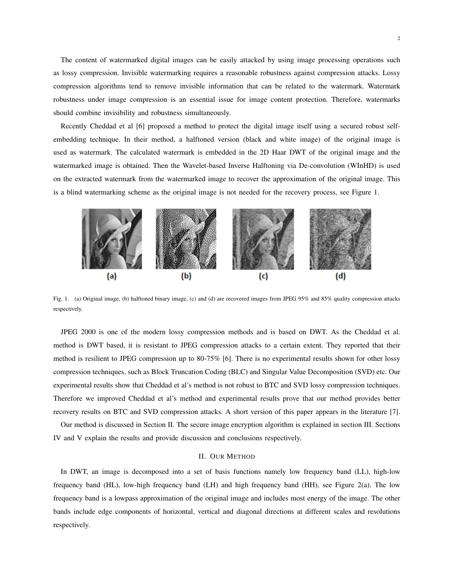The content of watermarked digital images can be easily attacked by using image processing operations such as lossy compression. Invisible watermarking requires a reasonable robustness against compression attacks. Lossy compression algorithms tend to remove invisible information that can be related to the watermark. Watermark robustness under image compression is an essential issue for image content protection. Therefore, watermarks should combine invisibility and robustness simultaneously.

Recently Cheddad et al [6] proposed a method to protect the digital image itself using a secured robust selfembedding technique. In their method, a halftoned version (black and white image) of the original image is used as watermark. The calculated watermark is embedded in the 2D Haar DWT of the original image and the watermarked image is obtained. Then the Wavelet-based Inverse Halftoning via De-convolution (WInHD) is used on the extracted watermark from the watermarked image to recover the approximation of the original image. This is a blind watermarking scheme as the original image is not needed for the recovery process, see Figure 1.



Fig. 1. (a) Original image, (b) halftoned binary image, (c) and (d) are recovered images from JPEG 95% and 85% quality compression attacks respectively.

JPEG 2000 is one of the modern lossy compression methods and is based on DWT. As the Cheddad et al. method is DWT based, it is resistant to JPEG compression attacks to a certain extent. They reported that their method is resilient to JPEG compression up to 80-75% [6]. There is no experimental results shown for other lossy compression techniques, such as Block Truncation Coding (BLC) and Singular Value Decomposition (SVD) etc. Our experimental results show that Cheddad et al's method is not robust to BTC and SVD lossy compression techniques. Therefore we improved Cheddad et al's method and experimental results prove that our method provides better recovery results on BTC and SVD compression attacks. A short version of this paper appears in the literature [7].

Our method is discussed in Section II. The secure image encryption algorithm is explained in section III. Sections IV and V explain the results and provide discussion and conclusions respectively.

## II. OUR METHOD

In DWT, an image is decomposed into a set of basis functions namely low frequency band (LL), high-low frequency band (HL), low-high frequency band (LH) and high frequency band (HH), see Figure 2(a). The low frequency band is a lowpass approximation of the original image and includes most energy of the image. The other bands include edge components of horizontal, vertical and diagonal directions at different scales and resolutions respectively.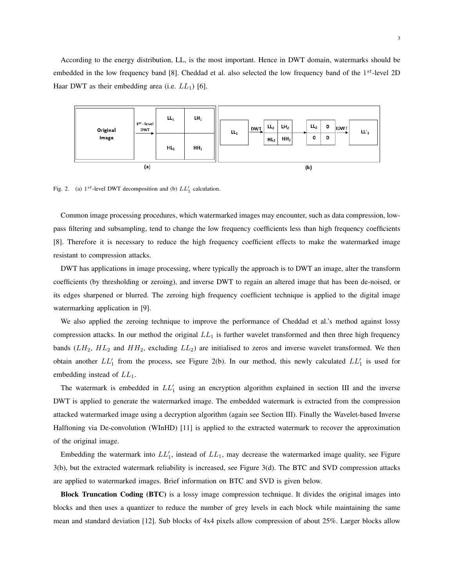According to the energy distribution, LL, is the most important. Hence in DWT domain, watermarks should be embedded in the low frequency band [8]. Cheddad et al. also selected the low frequency band of the 1 *st*-level 2D Haar DWT as their embedding area (i.e. *LL*1) [6].



Fig. 2. (a)  $1^{st}$ -level DWT decomposition and (b)  $LL'_1$  calculation.

Common image processing procedures, which watermarked images may encounter, such as data compression, lowpass filtering and subsampling, tend to change the low frequency coefficients less than high frequency coefficients [8]. Therefore it is necessary to reduce the high frequency coefficient effects to make the watermarked image resistant to compression attacks.

DWT has applications in image processing, where typically the approach is to DWT an image, alter the transform coefficients (by thresholding or zeroing), and inverse DWT to regain an altered image that has been de-noised, or its edges sharpened or blurred. The zeroing high frequency coefficient technique is applied to the digital image watermarking application in [9].

We also applied the zeroing technique to improve the performance of Cheddad et al.'s method against lossy compression attacks. In our method the original *LL*<sup>1</sup> is further wavelet transformed and then three high frequency bands  $(LH_2, HL_2$  and  $HH_2$ , excluding  $LL_2$ ) are initialised to zeros and inverse wavelet transformed. We then obtain another  $LL'$  from the process, see Figure 2(b). In our method, this newly calculated  $LL'$  is used for embedding instead of *LL*1.

The watermark is embedded in  $LL'$ <sup>1</sup> using an encryption algorithm explained in section III and the inverse DWT is applied to generate the watermarked image. The embedded watermark is extracted from the compression attacked watermarked image using a decryption algorithm (again see Section III). Finally the Wavelet-based Inverse Halftoning via De-convolution (WInHD) [11] is applied to the extracted watermark to recover the approximation of the original image.

Embedding the watermark into  $LL'_{1}$ , instead of  $LL_{1}$ , may decrease the watermarked image quality, see Figure 3(b), but the extracted watermark reliability is increased, see Figure 3(d). The BTC and SVD compression attacks are applied to watermarked images. Brief information on BTC and SVD is given below.

Block Truncation Coding (BTC) is a lossy image compression technique. It divides the original images into blocks and then uses a quantizer to reduce the number of grey levels in each block while maintaining the same mean and standard deviation [12]. Sub blocks of 4x4 pixels allow compression of about 25%. Larger blocks allow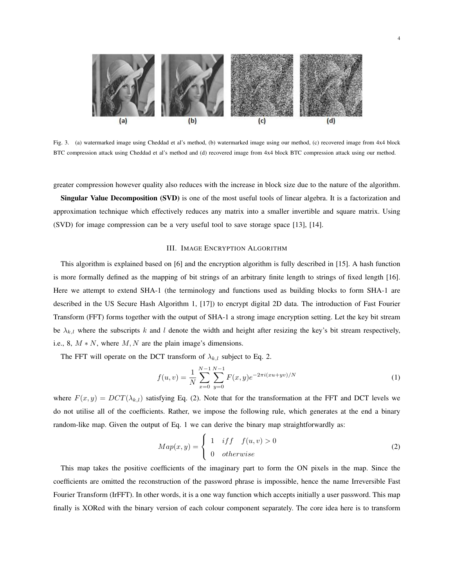

Fig. 3. (a) watermarked image using Cheddad et al's method, (b) watermarked image using our method, (c) recovered image from 4x4 block BTC compression attack using Cheddad et al's method and (d) recovered image from 4x4 block BTC compression attack using our method.

greater compression however quality also reduces with the increase in block size due to the nature of the algorithm.

Singular Value Decomposition (SVD) is one of the most useful tools of linear algebra. It is a factorization and approximation technique which effectively reduces any matrix into a smaller invertible and square matrix. Using (SVD) for image compression can be a very useful tool to save storage space [13], [14].

#### III. IMAGE ENCRYPTION ALGORITHM

This algorithm is explained based on [6] and the encryption algorithm is fully described in [15]. A hash function is more formally defined as the mapping of bit strings of an arbitrary finite length to strings of fixed length [16]. Here we attempt to extend SHA-1 (the terminology and functions used as building blocks to form SHA-1 are described in the US Secure Hash Algorithm 1, [17]) to encrypt digital 2D data. The introduction of Fast Fourier Transform (FFT) forms together with the output of SHA-1 a strong image encryption setting. Let the key bit stream be  $\lambda_{k,l}$  where the subscripts *k* and *l* denote the width and height after resizing the key's bit stream respectively, i.e., 8,  $M * N$ , where  $M, N$  are the plain image's dimensions.

The FFT will operate on the DCT transform of  $\lambda_{k,l}$  subject to Eq. 2.

$$
f(u,v) = \frac{1}{N} \sum_{x=0}^{N-1} \sum_{y=0}^{N-1} F(x,y) e^{-2\pi i (xu + yv)/N}
$$
 (1)

where  $F(x, y) = DCT(\lambda_{k,l})$  satisfying Eq. (2). Note that for the transformation at the FFT and DCT levels we do not utilise all of the coefficients. Rather, we impose the following rule, which generates at the end a binary random-like map. Given the output of Eq. 1 we can derive the binary map straightforwardly as:

$$
Map(x,y) = \begin{cases} 1 & if f \quad f(u,v) > 0 \\ 0 & otherwise \end{cases}
$$
 (2)

This map takes the positive coefficients of the imaginary part to form the ON pixels in the map. Since the coefficients are omitted the reconstruction of the password phrase is impossible, hence the name Irreversible Fast Fourier Transform (IrFFT). In other words, it is a one way function which accepts initially a user password. This map finally is XORed with the binary version of each colour component separately. The core idea here is to transform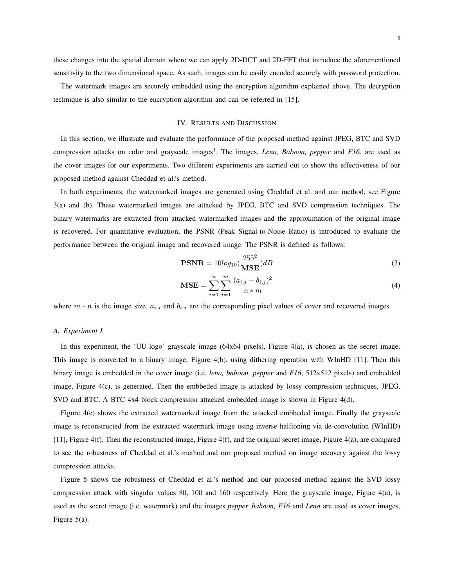these changes into the spatial domain where we can apply 2D-DCT and 2D-FFT that introduce the aforementioned sensitivity to the two dimensional space. As such, images can be easily encoded securely with password protection.

The watermark images are securely embedded using the encryption algorithm explained above. The decryption technique is also similar to the encryption algorithm and can be referred in [15].

# IV. RESULTS AND DISCUSSION

In this section, we illustrate and evaluate the performance of the proposed method against JPEG, BTC and SVD compression attacks on color and grayscale images<sup>1</sup>. The images, *Lena, Baboon, pepper* and *F16*, are used as the cover images for our experiments. Two different experiments are carried out to show the effectiveness of our proposed method against Cheddad et al.'s method.

In both experiments, the watermarked images are generated using Cheddad et al. and our method, see Figure 3(a) and (b). These watermarked images are attacked by JPEG, BTC and SVD compression techniques. The binary watermarks are extracted from attacked watermarked images and the approximation of the original image is recovered. For quantitative evaluation, the PSNR (Peak Signal-to-Noise Ratio) is introduced to evaluate the performance between the original image and recovered image. The PSNR is defined as follows:

$$
\text{PSNR} = 10\log_{10}\left(\frac{255^2}{\text{MSE}}\right)dB\tag{3}
$$

$$
\mathbf{MSE} = \sum_{i=1}^{n} \sum_{j=1}^{m} \frac{(a_{i,j} - b_{i,j})^2}{n \cdot m}
$$
(4)

where  $m * n$  is the image size,  $a_{i,j}$  and  $b_{i,j}$  are the corresponding pixel values of cover and recovered images.

## *A. Experiment I*

In this experiment, the 'UU-logo' grayscale image (64x64 pixels), Figure 4(a), is chosen as the secret image. This image is converted to a binary image, Figure 4(b), using dithering operation with WInHD [11]. Then this binary image is embedded in the cover image (i.e. *lena, baboon, pepper* and *F16*, 512x512 pixels) and embedded image, Figure 4(c), is generated. Then the embbeded image is attacked by lossy compression techniques, JPEG, SVD and BTC. A BTC 4x4 block compression attacked embedded image is shown in Figure 4(d).

Figure 4(e) shows the extracted watermarked image from the attacked embbeded image. Finally the grayscale image is reconstructed from the extracted watermark image using inverse halftoning via de-convolution (WInHD) [11], Figure 4(f). Then the reconstructed image, Figure 4(f), and the original secret image, Figure 4(a), are compared to see the robustness of Cheddad et al.'s method and our proposed method on image recovery against the lossy compression attacks.

Figure 5 shows the robustness of Cheddad et al.'s method and our proposed method against the SVD lossy compression attack with singular values 80, 100 and 160 respectively. Here the grayscale image, Figure 4(a), is used as the secret image (i.e. watermark) and the images *pepper, baboon, F16* and *Lena* are used as cover images, Figure 5(a).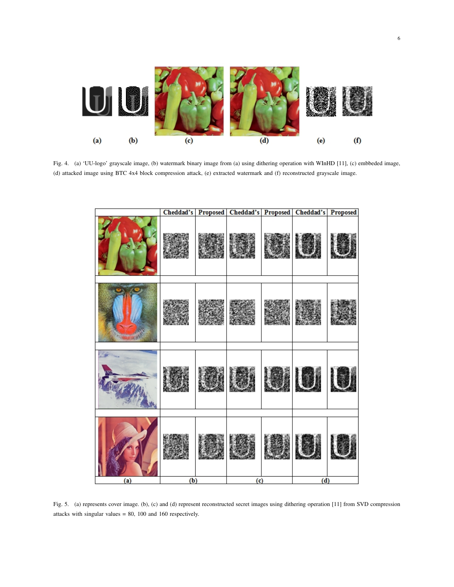

Fig. 4. (a) 'UU-logo' grayscale image, (b) watermark binary image from (a) using dithering operation with WInHD [11], (c) embbeded image, (d) attacked image using BTC 4x4 block compression attack, (e) extracted watermark and (f) reconstructed grayscale image.

|     |     |                         |  | Cheddad's   Proposed   Cheddad's   Proposed   Cheddad's   Proposed |  |  |
|-----|-----|-------------------------|--|--------------------------------------------------------------------|--|--|
|     |     |                         |  |                                                                    |  |  |
|     |     |                         |  |                                                                    |  |  |
|     |     |                         |  |                                                                    |  |  |
|     |     |                         |  |                                                                    |  |  |
|     |     |                         |  |                                                                    |  |  |
|     |     |                         |  |                                                                    |  |  |
|     |     |                         |  |                                                                    |  |  |
| (a) | (b) | $\overline{\textbf{c}}$ |  | $\overline{d}$                                                     |  |  |

Fig. 5. (a) represents cover image. (b), (c) and (d) represent reconstructed secret images using dithering operation [11] from SVD compression attacks with singular values = 80, 100 and 160 respectively.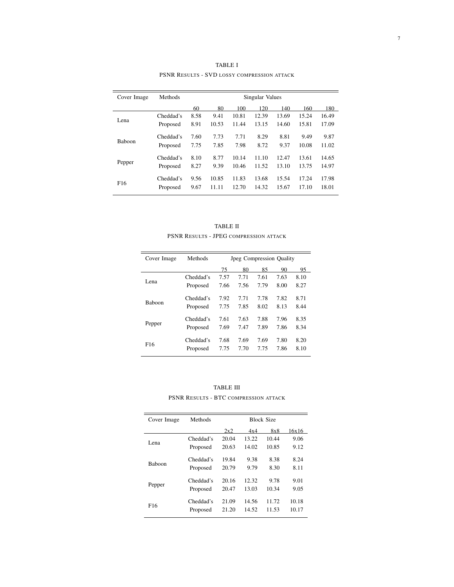| Cover Image     | Methods   | Singular Values |       |       |       |       |       |       |
|-----------------|-----------|-----------------|-------|-------|-------|-------|-------|-------|
|                 |           | 60              | 80    | 100   | 120   | 140   | 160   | 180   |
|                 | Cheddad's | 8.58            | 9.41  | 10.81 | 12.39 | 13.69 | 15.24 | 16.49 |
| Lena            | Proposed  | 8.91            | 10.53 | 11.44 | 13.15 | 14.60 | 15.81 | 17.09 |
| <b>Baboon</b>   | Cheddad's | 7.60            | 7.73  | 7.71  | 8.29  | 8.81  | 9.49  | 9.87  |
|                 | Proposed  | 7.75            | 7.85  | 7.98  | 8.72  | 9.37  | 10.08 | 11.02 |
|                 | Cheddad's | 8.10            | 8.77  | 10.14 | 11.10 | 12.47 | 13.61 | 14.65 |
| Pepper          | Proposed  | 8.27            | 9.39  | 10.46 | 11.52 | 13.10 | 13.75 | 14.97 |
| F <sub>16</sub> | Cheddad's | 9.56            | 10.85 | 11.83 | 13.68 | 15.54 | 17.24 | 17.98 |
|                 | Proposed  | 9.67            | 11.11 | 12.70 | 14.32 | 15.67 | 17.10 | 18.01 |

TABLE I PSNR RESULTS - SVD LOSSY COMPRESSION ATTACK

| TABLE II                                      |
|-----------------------------------------------|
| <b>PSNR RESULTS - JPEG COMPRESSION ATTACK</b> |

| Cover Image     | Methods   | <b>Jpeg Compression Quality</b> |      |      |      |      |  |
|-----------------|-----------|---------------------------------|------|------|------|------|--|
|                 |           | 75                              | 80   | 85   | 90   | 95   |  |
|                 | Cheddad's | 7.57                            | 7.71 | 7.61 | 7.63 | 8.10 |  |
| Lena            | Proposed  | 7.66                            | 7.56 | 7.79 | 8.00 | 8.27 |  |
| <b>Baboon</b>   | Cheddad's | 7.92                            | 7.71 | 7.78 | 7.82 | 8.71 |  |
|                 | Proposed  | 7.75                            | 7.85 | 8.02 | 8.13 | 8.44 |  |
| Pepper          | Cheddad's | 7.61                            | 7.63 | 7.88 | 7.96 | 8.35 |  |
|                 | Proposed  | 7.69                            | 7.47 | 7.89 | 7.86 | 8.34 |  |
| F <sub>16</sub> | Cheddad's | 7.68                            | 7.69 | 7.69 | 7.80 | 8.20 |  |
|                 | Proposed  | 7.75                            | 7.70 | 7.75 | 7.86 | 8.10 |  |

TABLE III PSNR RESULTS - BTC COMPRESSION ATTACK

| Cover Image     | Methods   | <b>Block Size</b> |       |       |       |  |
|-----------------|-----------|-------------------|-------|-------|-------|--|
|                 |           | 2x2               | 4x4   | 8x8   | 16x16 |  |
|                 | Cheddad's | 20.04             | 13.22 | 10.44 | 9.06  |  |
| Lena            | Proposed  | 20.63             | 14.02 | 10.85 | 9.12  |  |
| <b>Baboon</b>   | Cheddad's | 19.84             | 9.38  | 8.38  | 8.24  |  |
|                 | Proposed  | 20.79             | 9.79  | 8.30  | 8.11  |  |
| Pepper          | Cheddad's | 20.16             | 12.32 | 9.78  | 9.01  |  |
|                 | Proposed  | 20.47             | 13.03 | 10.34 | 9.05  |  |
| F <sub>16</sub> | Cheddad's | 21.09             | 14.56 | 11.72 | 10.18 |  |
|                 | Proposed  | 21.20             | 14.52 | 11.53 | 10.17 |  |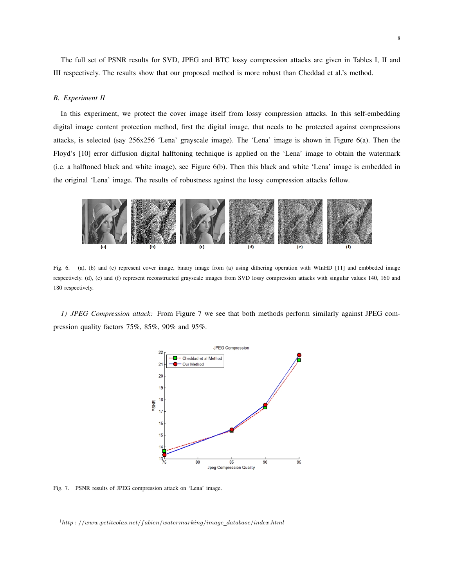The full set of PSNR results for SVD, JPEG and BTC lossy compression attacks are given in Tables I, II and III respectively. The results show that our proposed method is more robust than Cheddad et al.'s method.

# *B. Experiment II*

In this experiment, we protect the cover image itself from lossy compression attacks. In this self-embedding digital image content protection method, first the digital image, that needs to be protected against compressions attacks, is selected (say 256x256 'Lena' grayscale image). The 'Lena' image is shown in Figure 6(a). Then the Floyd's [10] error diffusion digital halftoning technique is applied on the 'Lena' image to obtain the watermark (i.e. a halftoned black and white image), see Figure 6(b). Then this black and white 'Lena' image is embedded in the original 'Lena' image. The results of robustness against the lossy compression attacks follow.



Fig. 6. (a), (b) and (c) represent cover image, binary image from (a) using dithering operation with WInHD [11] and embbeded image respectively. (d), (e) and (f) represent reconstructed grayscale images from SVD lossy compression attacks with singular values 140, 160 and 180 respectively.

*1) JPEG Compression attack:* From Figure 7 we see that both methods perform similarly against JPEG compression quality factors 75%, 85%, 90% and 95%.



Fig. 7. PSNR results of JPEG compression attack on 'Lena' image.

<sup>1</sup>*http* : *//www.petitcolas.net/fabien/watermarking/image database/index.html*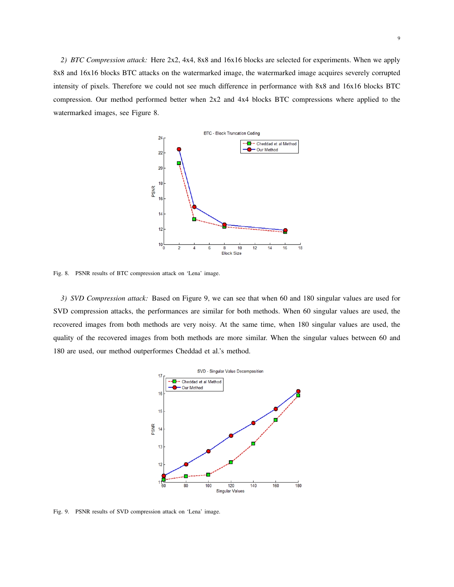*2) BTC Compression attack:* Here 2x2, 4x4, 8x8 and 16x16 blocks are selected for experiments. When we apply 8x8 and 16x16 blocks BTC attacks on the watermarked image, the watermarked image acquires severely corrupted intensity of pixels. Therefore we could not see much difference in performance with 8x8 and 16x16 blocks BTC compression. Our method performed better when 2x2 and 4x4 blocks BTC compressions where applied to the watermarked images, see Figure 8.



Fig. 8. PSNR results of BTC compression attack on 'Lena' image.

*3) SVD Compression attack:* Based on Figure 9, we can see that when 60 and 180 singular values are used for SVD compression attacks, the performances are similar for both methods. When 60 singular values are used, the recovered images from both methods are very noisy. At the same time, when 180 singular values are used, the quality of the recovered images from both methods are more similar. When the singular values between 60 and 180 are used, our method outperformes Cheddad et al.'s method.



Fig. 9. PSNR results of SVD compression attack on 'Lena' image.